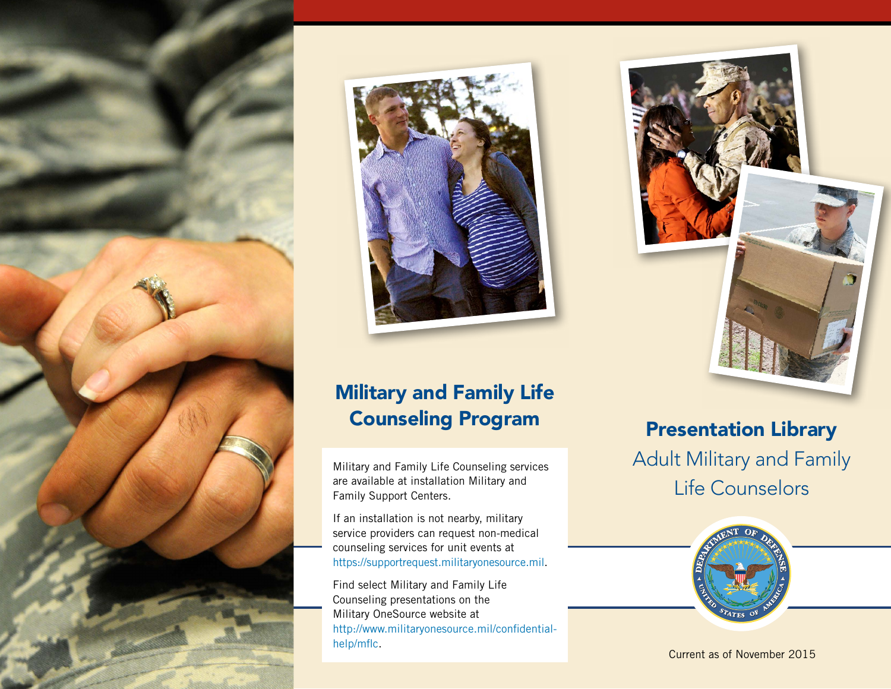



# Military and Family Life Counseling Program

Military and Family Life Counseling services are available at installation Military and Family Support Centers.

If an installation is not nearby, military service providers can request non-medical counseling services for unit events at [https://supportrequest.militaryonesource.mil.](https://supportrequest.militaryonesource.mil/)

Find select Military and Family Life Counseling presentations on the Military OneSource website at [http://www.militaryonesource.mil/confidential](http://www.militaryonesource.mil/confidential-help/mflc)[help/mflc](http://www.militaryonesource.mil/confidential-help/mflc).



## Presentation Library

Adult Military and Family Life Counselors



Current as of November 2015